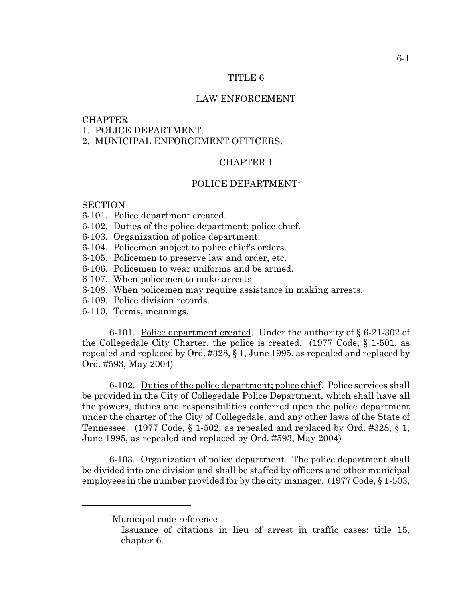## TITLE 6

#### LAW ENFORCEMENT

## **CHAPTER**

- 1. POLICE DEPARTMENT.
- 2. MUNICIPAL ENFORCEMENT OFFICERS.

# CHAPTER 1

## POLICE DEPARTMENT<sup>1</sup>

## **SECTION**

- 6-101. Police department created.
- 6-102. Duties of the police department; police chief.
- 6-103. Organization of police department.
- 6-104. Policemen subject to police chief's orders.
- 6-105. Policemen to preserve law and order, etc.
- 6-106. Policemen to wear uniforms and be armed.
- 6-107. When policemen to make arrests
- 6-108. When policemen may require assistance in making arrests.
- 6-109. Police division records.
- 6-110. Terms, meanings.

6-101. Police department created. Under the authority of § 6-21-302 of the Collegedale City Charter, the police is created.  $(1977 \text{ Code}, \S 1-501, \text{as})$ repealed and replaced by Ord. #328, § 1, June 1995, as repealed and replaced by Ord. #593, May 2004)

6-102. Duties of the police department; police chief. Police services shall be provided in the City of Collegedale Police Department, which shall have all the powers, duties and responsibilities conferred upon the police department under the charter of the City of Collegedale, and any other laws of the State of Tennessee. (1977 Code, § 1-502, as repealed and replaced by Ord. #328, § 1, June 1995, as repealed and replaced by Ord. #593, May 2004)

6-103. Organization of police department. The police department shall be divided into one division and shall be staffed by officers and other municipal employees in the number provided for by the city manager. (1977 Code, § 1-503,

<sup>&</sup>lt;sup>1</sup>Municipal code reference

Issuance of citations in lieu of arrest in traffic cases: title 15, chapter 6.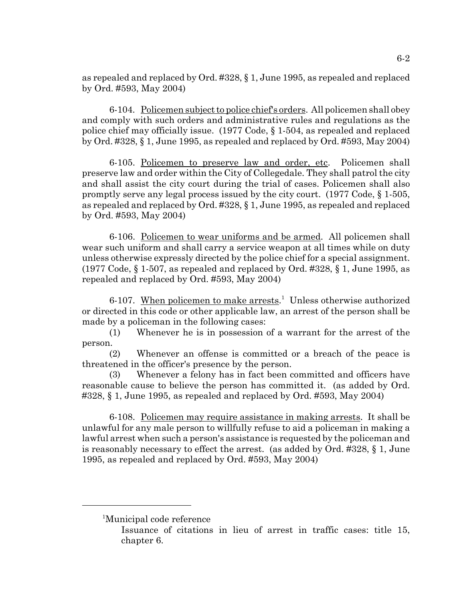as repealed and replaced by Ord. #328, § 1, June 1995, as repealed and replaced by Ord. #593, May 2004)

6-104. Policemen subject to police chief's orders. All policemen shall obey and comply with such orders and administrative rules and regulations as the police chief may officially issue. (1977 Code, § 1-504, as repealed and replaced by Ord. #328, § 1, June 1995, as repealed and replaced by Ord. #593, May 2004)

6-105. Policemen to preserve law and order, etc. Policemen shall preserve law and order within the City of Collegedale. They shall patrol the city and shall assist the city court during the trial of cases. Policemen shall also promptly serve any legal process issued by the city court. (1977 Code, § 1-505, as repealed and replaced by Ord. #328, § 1, June 1995, as repealed and replaced by Ord. #593, May 2004)

6-106. Policemen to wear uniforms and be armed. All policemen shall wear such uniform and shall carry a service weapon at all times while on duty unless otherwise expressly directed by the police chief for a special assignment. (1977 Code,  $\S 1-507$ , as repealed and replaced by Ord. #328,  $\S 1$ , June 1995, as repealed and replaced by Ord. #593, May 2004)

6-107. When policemen to make arrests.<sup>1</sup> Unless otherwise authorized or directed in this code or other applicable law, an arrest of the person shall be made by a policeman in the following cases:

(1) Whenever he is in possession of a warrant for the arrest of the person.

(2) Whenever an offense is committed or a breach of the peace is threatened in the officer's presence by the person.

(3) Whenever a felony has in fact been committed and officers have reasonable cause to believe the person has committed it. (as added by Ord. #328, § 1, June 1995, as repealed and replaced by Ord. #593, May 2004)

6-108. Policemen may require assistance in making arrests. It shall be unlawful for any male person to willfully refuse to aid a policeman in making a lawful arrest when such a person's assistance is requested by the policeman and is reasonably necessary to effect the arrest. (as added by Ord. #328, § 1, June 1995, as repealed and replaced by Ord. #593, May 2004)

<sup>1</sup> Municipal code reference

Issuance of citations in lieu of arrest in traffic cases: title 15, chapter 6.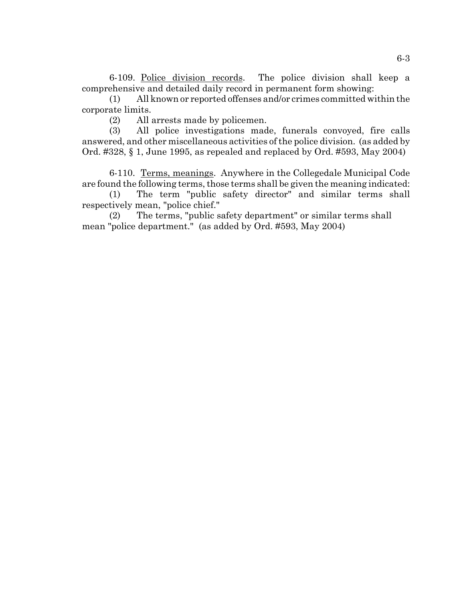6-109. Police division records. The police division shall keep a comprehensive and detailed daily record in permanent form showing:

(1) All known or reported offenses and/or crimes committed within the corporate limits.

(2) All arrests made by policemen.

(3) All police investigations made, funerals convoyed, fire calls answered, and other miscellaneous activities of the police division. (as added by Ord. #328, § 1, June 1995, as repealed and replaced by Ord. #593, May 2004)

6-110. Terms, meanings. Anywhere in the Collegedale Municipal Code are found the following terms, those terms shall be given the meaning indicated:

(1) The term "public safety director" and similar terms shall respectively mean, "police chief."

(2) The terms, "public safety department" or similar terms shall mean "police department." (as added by Ord. #593, May 2004)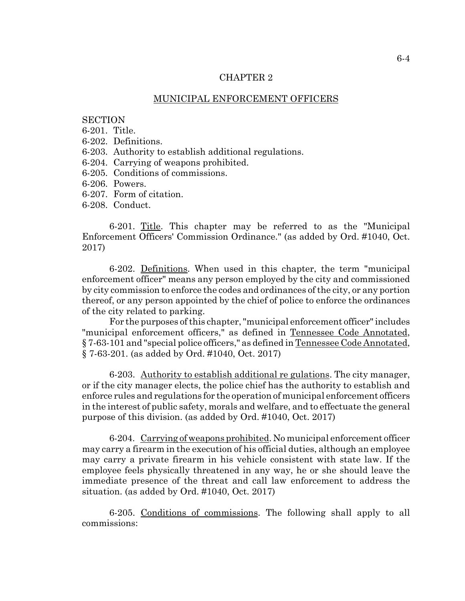#### CHAPTER 2

#### MUNICIPAL ENFORCEMENT OFFICERS

## **SECTION**

6-201. Title.

6-202. Definitions.

6-203. Authority to establish additional regulations.

6-204. Carrying of weapons prohibited.

- 6-205. Conditions of commissions.
- 6-206. Powers.
- 6-207. Form of citation.
- 6-208. Conduct.

6-201. Title. This chapter may be referred to as the "Municipal Enforcement Officers' Commission Ordinance." (as added by Ord. #1040, Oct. 2017)

6-202. Definitions. When used in this chapter, the term "municipal enforcement officer" means any person employed by the city and commissioned by city commission to enforce the codes and ordinances of the city, or any portion thereof, or any person appointed by the chief of police to enforce the ordinances of the city related to parking.

For the purposes of this chapter, "municipal enforcement officer" includes "municipal enforcement officers," as defined in Tennessee Code Annotated, § 7-63-101 and "special police officers," as defined in Tennessee Code Annotated, § 7-63-201. (as added by Ord. #1040, Oct. 2017)

6-203. Authority to establish additional re gulations. The city manager, or if the city manager elects, the police chief has the authority to establish and enforce rules and regulations for the operation of municipal enforcement officers in the interest of public safety, morals and welfare, and to effectuate the general purpose of this division. (as added by Ord. #1040, Oct. 2017)

6-204. Carrying of weapons prohibited. No municipal enforcement officer may carry a firearm in the execution of his official duties, although an employee may carry a private firearm in his vehicle consistent with state law. If the employee feels physically threatened in any way, he or she should leave the immediate presence of the threat and call law enforcement to address the situation. (as added by Ord. #1040, Oct. 2017)

6-205. Conditions of commissions. The following shall apply to all commissions: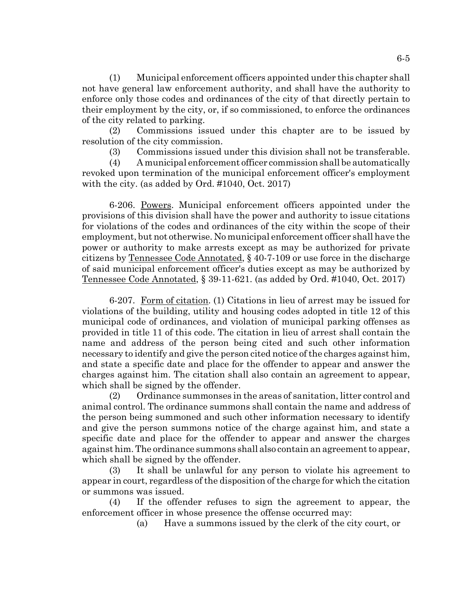(1) Municipal enforcement officers appointed under this chapter shall not have general law enforcement authority, and shall have the authority to enforce only those codes and ordinances of the city of that directly pertain to their employment by the city, or, if so commissioned, to enforce the ordinances of the city related to parking.

(2) Commissions issued under this chapter are to be issued by resolution of the city commission.

(3) Commissions issued under this division shall not be transferable.

(4) A municipal enforcement officer commission shall be automatically revoked upon termination of the municipal enforcement officer's employment with the city. (as added by Ord. #1040, Oct. 2017)

6-206. Powers. Municipal enforcement officers appointed under the provisions of this division shall have the power and authority to issue citations for violations of the codes and ordinances of the city within the scope of their employment, but not otherwise. No municipal enforcement officer shall have the power or authority to make arrests except as may be authorized for private citizens by Tennessee Code Annotated, § 40-7-109 or use force in the discharge of said municipal enforcement officer's duties except as may be authorized by Tennessee Code Annotated, § 39-11-621. (as added by Ord. #1040, Oct. 2017)

6-207. Form of citation. (1) Citations in lieu of arrest may be issued for violations of the building, utility and housing codes adopted in title 12 of this municipal code of ordinances, and violation of municipal parking offenses as provided in title 11 of this code. The citation in lieu of arrest shall contain the name and address of the person being cited and such other information necessary to identify and give the person cited notice of the charges against him, and state a specific date and place for the offender to appear and answer the charges against him. The citation shall also contain an agreement to appear, which shall be signed by the offender.

(2) Ordinance summonses in the areas of sanitation, litter control and animal control. The ordinance summons shall contain the name and address of the person being summoned and such other information necessary to identify and give the person summons notice of the charge against him, and state a specific date and place for the offender to appear and answer the charges against him. The ordinance summons shall also contain an agreement to appear, which shall be signed by the offender.

(3) It shall be unlawful for any person to violate his agreement to appear in court, regardless of the disposition of the charge for which the citation or summons was issued.

(4) If the offender refuses to sign the agreement to appear, the enforcement officer in whose presence the offense occurred may:

(a) Have a summons issued by the clerk of the city court, or